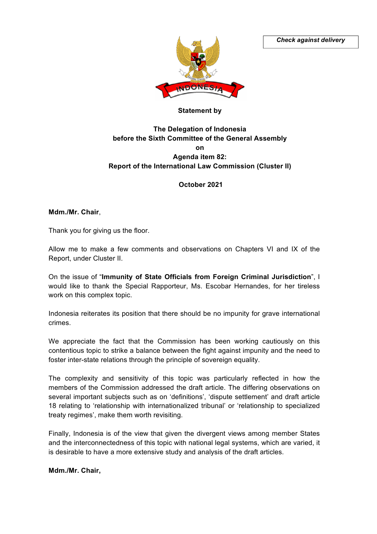



## **Statement by**

## **The Delegation of Indonesia before the Sixth Committee of the General Assembly on Agenda item 82: Report of the International Law Commission (Cluster II)**

## **October 2021**

**Mdm./Mr. Chair**,

Thank you for giving us the floor.

Allow me to make a few comments and observations on Chapters VI and IX of the Report, under Cluster II.

On the issue of "**Immunity of State Officials from Foreign Criminal Jurisdiction**", I would like to thank the Special Rapporteur, Ms. Escobar Hernandes, for her tireless work on this complex topic.

Indonesia reiterates its position that there should be no impunity for grave international crimes.

We appreciate the fact that the Commission has been working cautiously on this contentious topic to strike a balance between the fight against impunity and the need to foster inter-state relations through the principle of sovereign equality.

The complexity and sensitivity of this topic was particularly reflected in how the members of the Commission addressed the draft article. The differing observations on several important subjects such as on 'definitions', 'dispute settlement' and draft article 18 relating to 'relationship with internationalized tribunal' or 'relationship to specialized treaty regimes', make them worth revisiting.

Finally, Indonesia is of the view that given the divergent views among member States and the interconnectedness of this topic with national legal systems, which are varied, it is desirable to have a more extensive study and analysis of the draft articles.

**Mdm./Mr. Chair,**